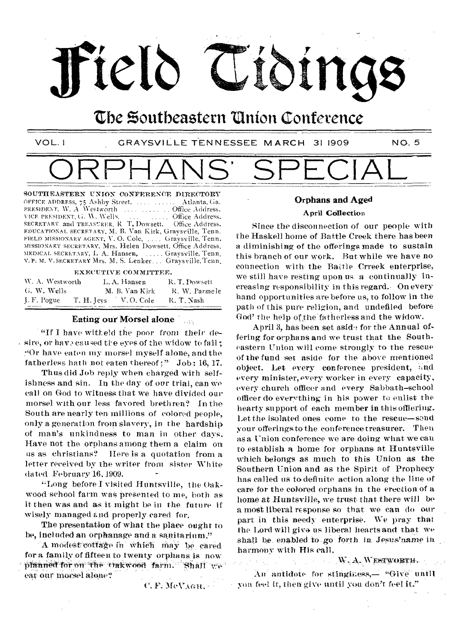

## the Zoutbeastern 'Union Conference

VOL. 1 CRAYSVILLE TENNESSEE MARCH 31 1909 NO, 5

# ORPHANS' SPECIAL

SOUTHEASTERN UNION OONFERENOE DIRECTORY OFFICE ADDRESS, 75 Ashby Street, ...... Atlanta. Ga. PRES/DENT. W. A Westworth Office Address\_ PRESIDENT, W. A Westworth  $\ldots$  ... Office Address-<br>VICE PRESIDENT, G. W. Wells. ... ... ... Office Address-<br>SECRETARY and TREASURER, R. T. Dowsett. Office Address. SECRETARY and TREASURER, R. T. Dowsett. EDUCATIONAL SECRFIARY, M. B. Van Kirk, Graysville, Tenn. FIELD MISSIONARY AGENT, V.O. Cole, .... Graysville, Tenn. MISSIONARY SECRETARY, Mrs. Helen Dowsett. Office Address. MEDICAL SECRETARY, I. A. Hansen, ..... Graysville, Tenn. Y. P. M. Y. SECRETARY Mrs. M. S. Lenker . . Graysville,Tenn,

EXECUTIVE COMMITTEE.

| W. A. Westworth | L.A. Hansen           | R.T.Dowsett   |
|-----------------|-----------------------|---------------|
| G. W. Wells     | M. B. Van Kirk        | R. W. Parmele |
| I.F. Pogue      | T. H. Jevs V. O. Cole | R. T. Nash    |

#### Eating our Morsel alone

"If I have witteld the poor from their de- $\cdot$  sire, or hay a caused the eyes of the widow to fail: "Or have eaten my morsel myself alone, and the fatherless bath not eaten thereof ;" Job: 16, 17.

Thus did Job reply when charged with selfishness and sin. In the day of our trial, can We call on God to witness that we have divided our morsel with our less favored brethren? In the South are nearly ten millions of colored people, only a generation from slavery, in the hardship of man's unkindness to man in other days. Have not the orphans among them a claim on us as Christians? Here is a quotation from a letter received by the writer from sister White dated February 16.1909.

"Long before I visited Huntsville, the Oakwood-school farm was presented to me, both as it then was and as it might be in the future if wisely managed and properly cared for.

The presentation of what the place ought to be, included an orphanage and a sanitarium."

A modest cottage in which may be cared for a family of fifteen to twenty orphans is now planned for on the 'Oakwood farm. " Shall ve eat our morsel alone?

C. F. McVAGH.

### Orphans and Aged

#### April Collection

Since the disconnection of our people with the Haskell home of Battle Creek there has been a diminishing of the offerings made to sustain this branch of our work. But while we have no connection with the Battle Crreek enterprise, we still have resting upon us a continually increasing responsibility in this regard.- On every hand opportunities are before us, to follow in the path of this pure religion, and undefiled before God' the help of the fatherless and the widow.

April 3, has been set aside for the Annual offering for orphans and we trust that the Southeastern Union will come strongly to the rescue of the fund set aside for the above mentioned object. Let every conference president, and every minister, every worker in every capacity, every church officer and every Sabbath-school officer do everything, in his power to enlist the hearty support of each member in this officiing. Let the isolated ones come to the rescue—send your offerings to the conference treasurer. Then as a Union conference we are doing what we can to establish a home for orphans at Huntsville which belongs as much to this Union as the Southern Union and as the Spirit of Prophecy has called us to definite action along the line of care for the colored orphans in the erection of a home at Huntsville, we trust that there will be a most liberal response so that we can do our part in this needy enterprise. We pray that the Lord will givo us liberal hearts and that we shall be enabled to go forth in Jesus'name in harmony with His call.

W.A. WESTWORTH.

An antidote for stinginess,  $-$  "Give until. you feet it, then give until you don't feel it."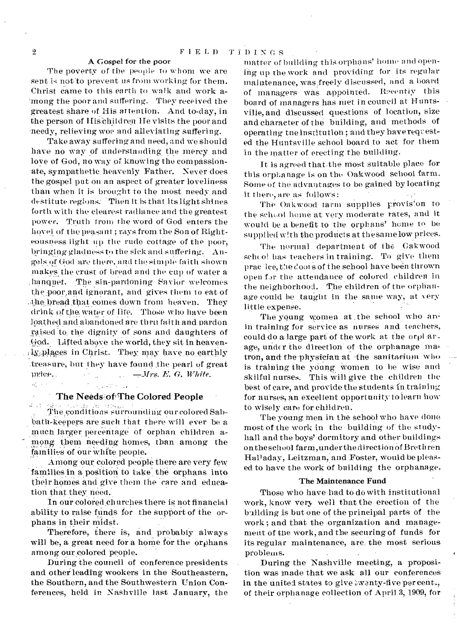#### A Gospel for the poor

The poverty of the people to whom we are sent is not to prevent us from working for them. Christ came to this earth to walk and work among the poor and suffering. They received the greatest share of His attention. And to-day, in the person of His children He visits the poor and -needy, relieving woe and alleviating suffering.

Take away suffering and need, and we should have no way of understanding the mercy and love of God, no way of knowing the compassionate, sympathetic heavenly Father. Never does the gospel put on an aspect of greater loveliness than when it is brought to the most needy and destitute regions: Then it is that its light shines forth with the clearest radiance and the greatest power. Truth from the word of God enters the hovel of the peasant; rays from the Son of Righteousness light up the rude cottage of the poor, bringing gladness to the sick and suffering. Angels of God are there, and the simple faith shown makes the crust of bread and the cup of water a, banquet. The sin-pardoning Savior welcomes the poor,and ignorant, and gives them 10 eat of Abe bread that comes down from heaven. They drink of the water of life. Those who have been loathed and abandoned are thru faith and pardon raised to the dignity of sons and daughters of .God. Lifted above the world, they sit in heaven-  $\frac{1}{2}$ .  $\frac{1}{2}$  and  $\frac{1}{2}$  in Christ. They may have no earthly .treasure, but they have found the pearl of great )rice.. *.111-s.. E. G. White.*  **K** and the **Constitution** 

#### The Needs of The Colored People

The conditions surrounding our colored Sabbath-keepers are such that there will ever be a much larger percentage of orphan children among them\_ needing homes, than among the families of our white people.

Among our colored people there are very few families in a position to take the orphans into their homes and give them the care and education that they need.

In our colored churches there is not financial ability to raise funds for the support of the orphans in their midst.

Therefore, there is, and probably always will be, a great need for a home for the orphans among our colored people.

During the council of conference presidents and other leading wookers in the Southeastern, the Southern, and the Southwestern Union Conferences, held in. Nashville last January, the

matter of building this orphans' home and opening up the work and providing for its regular maintenance, was freely discussed, and a board of managers was appointed. Recentiy this board of managers has met in council at Huntsville, and discussed questions of location, size and character of the building, and methods of operating tne institution; and they have requested the Huntsville school board to act for them in the matter of erecting the building.

It is agreed that the most suitable place for this orphanage is on the Oakwood school farm. Some of the advantages to be gained by locating it there, are as follows:

The Oakwood farm supplies provision to the school home at very moderate rates, and it would be a benefit to the orphans' home to be supplied with the products at the same low prices.

The normal department of the Oakwood scheol has teachers in training. To give them prac ice, the cools of the school have been thrown open for the attendance of colored children in the neighborhood. The children of the orphanage could be taught in the same way, at very little expense.

The young women at .the school who are in training for service as nurses and teachers, could do a large part of the work at the orpl arage, under the direction of the orphanage matron, and the physician at the sanitarium who is training the young women to be wise and skilful nurses. This will give the children the best of care, and provide the students in training for nurses, an excellent opportunity to learn how to wisely care for children.

The young men in the school who have done most of the work in the • building of the studyhall and the boys' dormitory and other buildings on the school farm, under the direction of Brethren Holladay, Leitzman, and Foster, would be pleased to have the work of building the orphanage.

#### The Maintenance Fund

Those who have had to do with institutional work, know very well that the erection of the building is but one of the principal parts of the work ; and that the organization and management of the work, and the securing of funds for its regular maintenance, are, the most serious problems.

During the Nashville meeting, a proposition was made that we ask all our conferences in the united states to give swanty-five percent., of their orphanage collection of April 3, 1909, for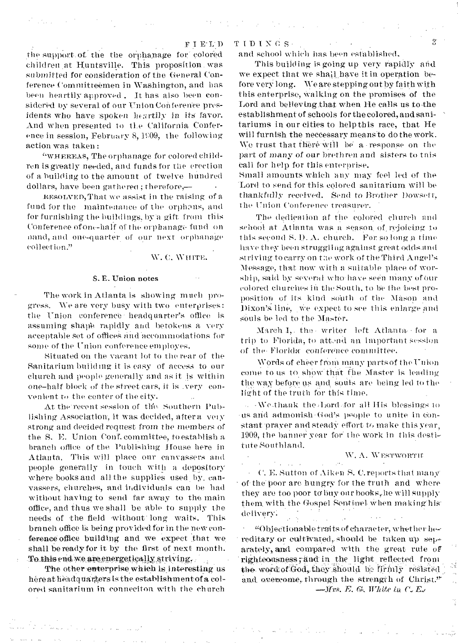the support. of, the the orphanage for-colored children at Huntsville. This proposition was submitted for consideration of the General Conference Committeemen in Washington, and has been heartily approved . It has also been considered by several of our Union Conference presidents who have spoken heartily in its favor. And when presented to tie California Conference in session, February 8,  $1999$ , the following action was taken :

and the company of the

"WHEREAS, The orphanage for colored children is greatly needed, and funds for the erection of a building to the amount of twelve hundred dollars, have been gathered ; therefore,— •

REsonvED,That we assist in the raising of a, fund for the maintenance of the orphans, and for furnishing the buildings, bya gift. from this Conference of one-half of the orphanage fund on nand, and one-quarter of our next orphanage collection."

W. C. WHITE.

#### S. E. Union notes

The work in Atlanta is showing much progress. We are very busy with two enterprises: the Union conference headquarter's office is assuming shape rapidly and betokens a very acceptable sot of offices and 'accommodations for some of the Union conference employes.

Situated on the vacant lot to the rear of the Sanitarium building it is easy of access to our church and people generally and as it is within one-half block *of* the street cars, it is .very convenient to the center of the city.

At the recent session of the. Southern Publishing Association, it was decided, after a very strong and decided request from the members of the S. E. Union Conf. committee, to establish a branch office of the Publishing House here in Atlanta. This will place our canvassers and people generally in touch with a depository where books and all the supplies used by, canvassers, churches, and individuals can be had without having to send far away to the main office, and thus we shall be able to supply the needs of the field without long waits. This branch office is being provided for in the new conference office building and we expect that we. shall be ready for it by the first of next month. To this end we are energetically striving.

The other enterprise which is interesting us here at headquarters is the establishment of a colored sanitarium in conneciton with the church

#### TIDIN6S.

and school which has been established.

 $\mathcal{L}^{(1,2)}$ 

This building is going up very rapidly and we expect that we shall.have it in operation before very long. We are stepping out by faith with this enterprise, walking on the promises of the Lord and believingthat when He calls us to the establishment of schools for the colored, and sanitariums in our cities to help this race, that He will furnish the neceessary meansto do the work. We trust that there will be a response on the part of many of our brethren and sisters to tnis call for help for this enterprise.

Small amomits which any may feel led of the 'Lord to send for this colored sanitarium will be thankfully received. Send to Brother Dowsett, the Union Conference treasurer.

The dedication af the colored church and school at Atlanta was a season, of. rejoicing to this second S.  $D. A.$  church. For so long a time have they been struggling against great odds.and striving to carry on tae work of the Third Angel's Message, that now with a suitable place of worship, said by several who have seen many of our colored churches in the South, to be the best proposition of its kind south of the Mason and Dixon's line, we expect to see this enlarge and souls be led to the Master.

March I, the - writer left Atlanta for a trip to Florida, to attend an important session of the Florida conference committee.

Words of cheer from many parts of the Union come to us to show that the Master is leading the way before us and souls are being led to the light of the truth for this time.

We thank the Lord for all His blessings to us and admonish God's psople to unite in constant 'prayer and steady effort to make this year, 1909, the banner year for the work in this destitute Southland.

#### W. A. WESTWORTH

• C. E. Sutton of Aiken S. C. reports that many' of- the' poor are hungry for the troth and where they are too poor to buy our books, he will supply them, with the Gospel Sentinel, When makinghis delivery:

"Objectionable traits of character, whether hereditary or cultivated, should be taken up separately, and compared with the great rule of righteousness; and in the light reflected from the word of God, they should be firmly resisted and overcome, through the strength of Christ."  $-Mrs$ , E. G., White in C. E.,

2